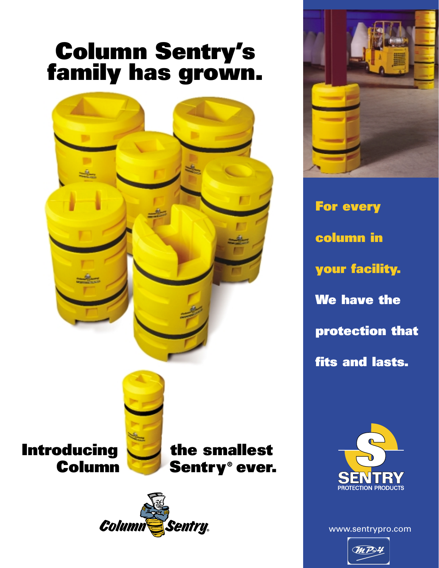# **Column Sentry's family has grown.**



Columi

**Sentry** 



**For every column in your facility. We have the protection that fits and lasts.**



www.sentrypro.com